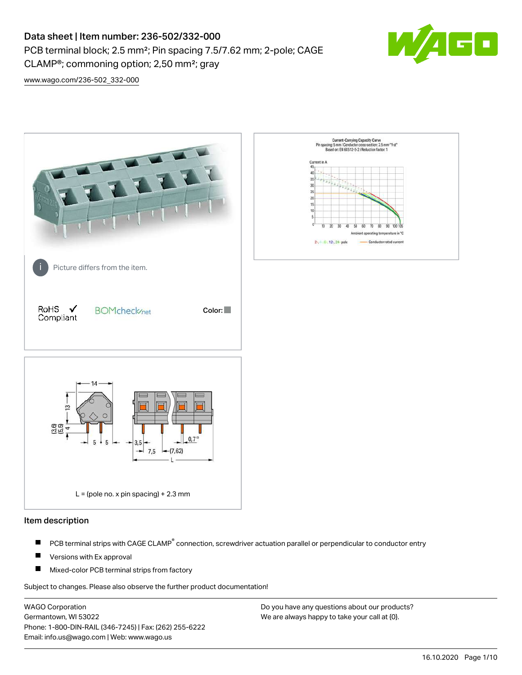PCB terminal block; 2.5 mm²; Pin spacing 7.5/7.62 mm; 2-pole; CAGE

CLAMP®; commoning option; 2,50 mm²; gray



[www.wago.com/236-502\\_332-000](http://www.wago.com/236-502_332-000)



## Item description

- PCB terminal strips with CAGE CLAMP<sup>®</sup> connection, screwdriver actuation parallel or perpendicular to conductor entry П
- П Versions with Ex approval
- П Mixed-color PCB terminal strips from factory

Subject to changes. Please also observe the further product documentation!

WAGO Corporation Germantown, WI 53022 Phone: 1-800-DIN-RAIL (346-7245) | Fax: (262) 255-6222 Email: info.us@wago.com | Web: www.wago.us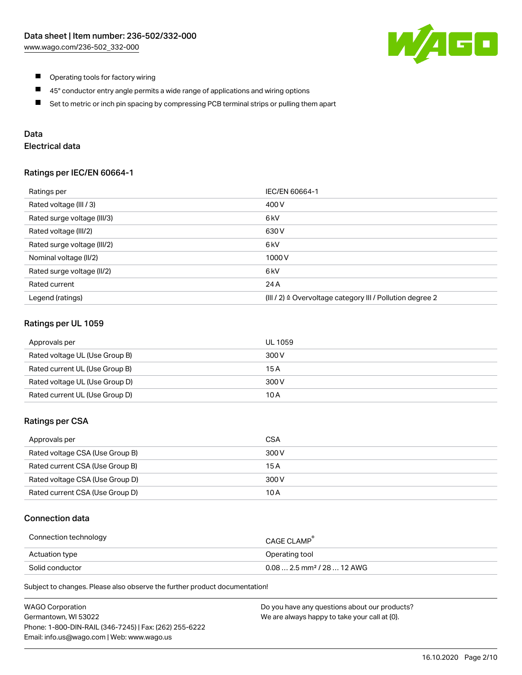

- $\blacksquare$ Operating tools for factory wiring
- $\blacksquare$ 45° conductor entry angle permits a wide range of applications and wiring options
- $\blacksquare$ Set to metric or inch pin spacing by compressing PCB terminal strips or pulling them apart

# Data

# Electrical data

### Ratings per IEC/EN 60664-1

| Ratings per                 | IEC/EN 60664-1                                            |
|-----------------------------|-----------------------------------------------------------|
| Rated voltage (III / 3)     | 400 V                                                     |
| Rated surge voltage (III/3) | 6 <sub>k</sub> V                                          |
| Rated voltage (III/2)       | 630 V                                                     |
| Rated surge voltage (III/2) | 6 <sub>kV</sub>                                           |
| Nominal voltage (II/2)      | 1000V                                                     |
| Rated surge voltage (II/2)  | 6 kV                                                      |
| Rated current               | 24 A                                                      |
| Legend (ratings)            | (III / 2) ≙ Overvoltage category III / Pollution degree 2 |

### Ratings per UL 1059

| Approvals per                  | UL 1059 |
|--------------------------------|---------|
| Rated voltage UL (Use Group B) | 300 V   |
| Rated current UL (Use Group B) | 15 A    |
| Rated voltage UL (Use Group D) | 300 V   |
| Rated current UL (Use Group D) | 10 A    |

### Ratings per CSA

| Approvals per                   | CSA   |
|---------------------------------|-------|
| Rated voltage CSA (Use Group B) | 300 V |
| Rated current CSA (Use Group B) | 15 A  |
| Rated voltage CSA (Use Group D) | 300 V |
| Rated current CSA (Use Group D) | 10 A  |

### Connection data

| Connection technology | CAGE CLAMP <sup>®</sup>                 |
|-----------------------|-----------------------------------------|
| Actuation type        | Operating tool                          |
| Solid conductor       | $0.08$ 2.5 mm <sup>2</sup> / 28  12 AWG |

| <b>WAGO Corporation</b>                                | Do you have any questions about our products? |
|--------------------------------------------------------|-----------------------------------------------|
| Germantown, WI 53022                                   | We are always happy to take your call at {0}. |
| Phone: 1-800-DIN-RAIL (346-7245)   Fax: (262) 255-6222 |                                               |
| Email: info.us@wago.com   Web: www.wago.us             |                                               |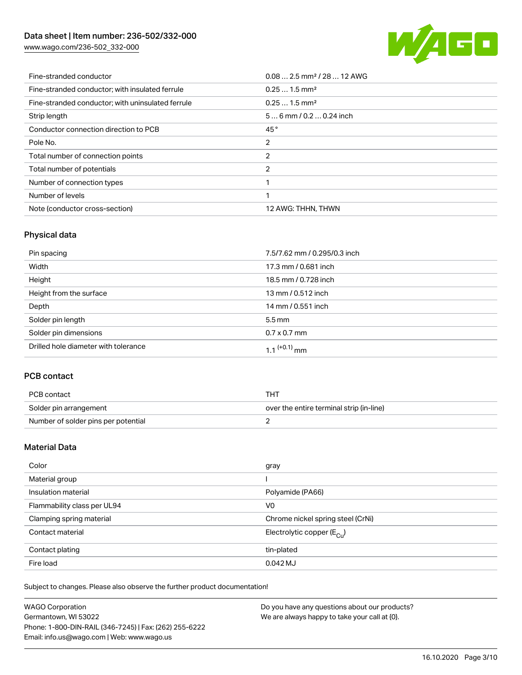[www.wago.com/236-502\\_332-000](http://www.wago.com/236-502_332-000)



| Fine-stranded conductor                           | $0.082.5$ mm <sup>2</sup> / 28  12 AWG |
|---------------------------------------------------|----------------------------------------|
| Fine-stranded conductor; with insulated ferrule   | $0.251.5$ mm <sup>2</sup>              |
| Fine-stranded conductor; with uninsulated ferrule | $0.251.5$ mm <sup>2</sup>              |
| Strip length                                      | $56$ mm / 0.2  0.24 inch               |
| Conductor connection direction to PCB             | 45°                                    |
| Pole No.                                          | 2                                      |
| Total number of connection points                 | 2                                      |
| Total number of potentials                        | 2                                      |
| Number of connection types                        |                                        |
| Number of levels                                  |                                        |
| Note (conductor cross-section)                    | 12 AWG: THHN, THWN                     |

# Physical data

| Pin spacing                          | 7.5/7.62 mm / 0.295/0.3 inch |
|--------------------------------------|------------------------------|
| Width                                | 17.3 mm / 0.681 inch         |
| Height                               | 18.5 mm / 0.728 inch         |
| Height from the surface              | 13 mm / 0.512 inch           |
| Depth                                | 14 mm / 0.551 inch           |
| Solder pin length                    | $5.5 \,\mathrm{mm}$          |
| Solder pin dimensions                | $0.7 \times 0.7$ mm          |
| Drilled hole diameter with tolerance | $1.1$ <sup>(+0.1)</sup> mm   |

# PCB contact

| PCB contact                         | THT                                      |
|-------------------------------------|------------------------------------------|
| Solder pin arrangement              | over the entire terminal strip (in-line) |
| Number of solder pins per potential |                                          |

# Material Data

| Color                       | gray                                    |
|-----------------------------|-----------------------------------------|
| Material group              |                                         |
| Insulation material         | Polyamide (PA66)                        |
| Flammability class per UL94 | V <sub>0</sub>                          |
| Clamping spring material    | Chrome nickel spring steel (CrNi)       |
| Contact material            | Electrolytic copper ( $E_{\text{Cu}}$ ) |
| Contact plating             | tin-plated                              |
| Fire load                   | $0.042$ MJ                              |

| <b>WAGO Corporation</b>                                | Do you have any questions about our products? |
|--------------------------------------------------------|-----------------------------------------------|
| Germantown, WI 53022                                   | We are always happy to take your call at {0}. |
| Phone: 1-800-DIN-RAIL (346-7245)   Fax: (262) 255-6222 |                                               |
| Email: info.us@wago.com   Web: www.wago.us             |                                               |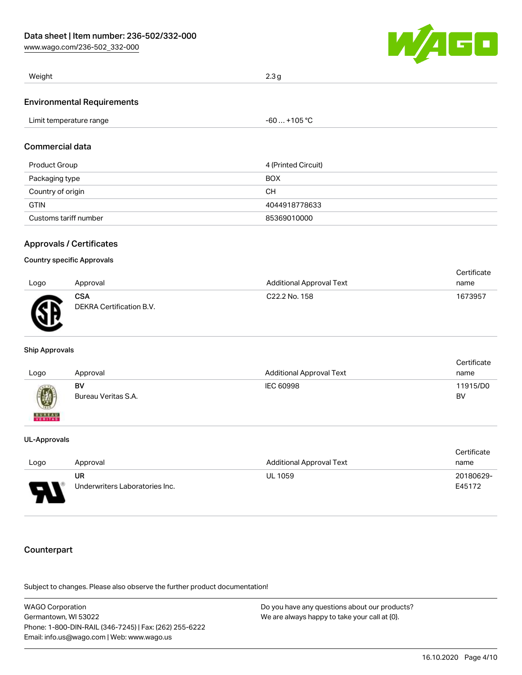[www.wago.com/236-502\\_332-000](http://www.wago.com/236-502_332-000)



| Weight                            | 2.3 <sub>a</sub> |
|-----------------------------------|------------------|
| <b>Environmental Requirements</b> |                  |

| Limit temperature range | $-60+105 °C$ |
|-------------------------|--------------|
|-------------------------|--------------|

### Commercial data

| Product Group         | 4 (Printed Circuit) |
|-----------------------|---------------------|
| Packaging type        | <b>BOX</b>          |
| Country of origin     | CН                  |
| <b>GTIN</b>           | 4044918778633       |
| Customs tariff number | 85369010000         |

### Approvals / Certificates

### Country specific Approvals

|      |                                        |                                 | Certificate |
|------|----------------------------------------|---------------------------------|-------------|
| Logo | Approval                               | <b>Additional Approval Text</b> | name        |
| Ж    | <b>CSA</b><br>DEKRA Certification B.V. | C <sub>22.2</sub> No. 158       | 1673957     |

#### Ship Approvals

|                                                                      |                     |                                 | Certificate |
|----------------------------------------------------------------------|---------------------|---------------------------------|-------------|
| Logo                                                                 | Approval            | <b>Additional Approval Text</b> | name        |
|                                                                      | BV                  | IEC 60998                       | 11915/D0    |
| $\left(\!\!\left.\begin{array}{c} y\end{array}\!\!\right\!\!\right)$ | Bureau Veritas S.A. |                                 | BV          |
| <b>BUREAU</b><br>VERITAS                                             |                     |                                 |             |

#### UL-Approvals

|        |                                |                                 | Certificate |
|--------|--------------------------------|---------------------------------|-------------|
| Logo   | Approval                       | <b>Additional Approval Text</b> | name        |
|        | UR.                            | <b>UL 1059</b>                  | 20180629-   |
| J<br>÷ | Underwriters Laboratories Inc. |                                 | E45172      |

# Counterpart

| WAGO Corporation                                       | Do you have any questions about our products? |
|--------------------------------------------------------|-----------------------------------------------|
| Germantown. WI 53022                                   | We are always happy to take your call at {0}. |
| Phone: 1-800-DIN-RAIL (346-7245)   Fax: (262) 255-6222 |                                               |
| Email: info.us@wago.com   Web: www.wago.us             |                                               |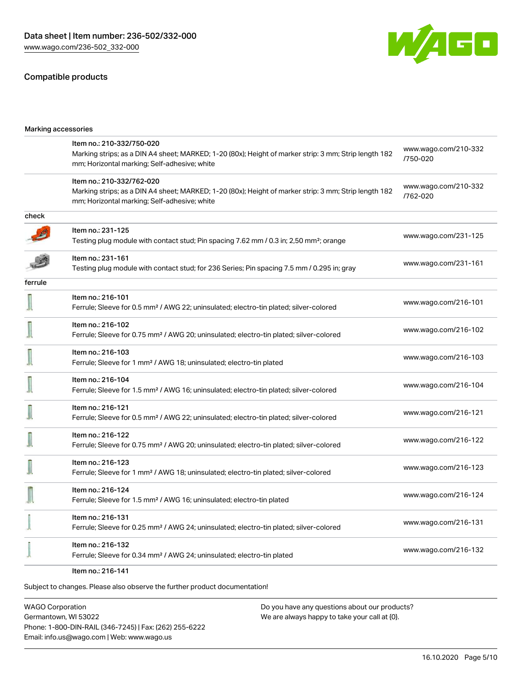### Compatible products



| Marking accessories |                                                                                                                                                                                    |                                  |
|---------------------|------------------------------------------------------------------------------------------------------------------------------------------------------------------------------------|----------------------------------|
|                     | Item no.: 210-332/750-020<br>Marking strips; as a DIN A4 sheet; MARKED; 1-20 (80x); Height of marker strip: 3 mm; Strip length 182<br>mm; Horizontal marking; Self-adhesive; white | www.wago.com/210-332<br>/750-020 |
|                     | Item no.: 210-332/762-020<br>Marking strips; as a DIN A4 sheet; MARKED; 1-20 (80x); Height of marker strip: 3 mm; Strip length 182<br>mm; Horizontal marking; Self-adhesive; white | www.wago.com/210-332<br>/762-020 |
| check               |                                                                                                                                                                                    |                                  |
|                     | Item no.: 231-125<br>Testing plug module with contact stud; Pin spacing 7.62 mm / 0.3 in; 2,50 mm <sup>2</sup> ; orange                                                            | www.wago.com/231-125             |
|                     | Item no.: 231-161<br>Testing plug module with contact stud; for 236 Series; Pin spacing 7.5 mm / 0.295 in; gray                                                                    | www.wago.com/231-161             |
| ferrule             |                                                                                                                                                                                    |                                  |
|                     | Item no.: 216-101<br>Ferrule; Sleeve for 0.5 mm <sup>2</sup> / AWG 22; uninsulated; electro-tin plated; silver-colored                                                             | www.wago.com/216-101             |
|                     | Item no.: 216-102<br>Ferrule; Sleeve for 0.75 mm <sup>2</sup> / AWG 20; uninsulated; electro-tin plated; silver-colored                                                            | www.wago.com/216-102             |
|                     | Item no.: 216-103<br>Ferrule; Sleeve for 1 mm <sup>2</sup> / AWG 18; uninsulated; electro-tin plated                                                                               | www.wago.com/216-103             |
|                     | Item no.: 216-104<br>Ferrule; Sleeve for 1.5 mm <sup>2</sup> / AWG 16; uninsulated; electro-tin plated; silver-colored                                                             | www.wago.com/216-104             |
|                     | Item no.: 216-121<br>Ferrule; Sleeve for 0.5 mm <sup>2</sup> / AWG 22; uninsulated; electro-tin plated; silver-colored                                                             | www.wago.com/216-121             |
|                     | Item no.: 216-122<br>Ferrule; Sleeve for 0.75 mm <sup>2</sup> / AWG 20; uninsulated; electro-tin plated; silver-colored                                                            | www.wago.com/216-122             |
|                     | Item no.: 216-123<br>Ferrule; Sleeve for 1 mm <sup>2</sup> / AWG 18; uninsulated; electro-tin plated; silver-colored                                                               | www.wago.com/216-123             |
|                     | Item no.: 216-124<br>Ferrule; Sleeve for 1.5 mm <sup>2</sup> / AWG 16; uninsulated; electro-tin plated                                                                             | www.wago.com/216-124             |
|                     | Item no.: 216-131<br>Ferrule; Sleeve for 0.25 mm <sup>2</sup> / AWG 24; uninsulated; electro-tin plated; silver-colored                                                            | www.wago.com/216-131             |
|                     | Item no.: 216-132<br>Ferrule; Sleeve for 0.34 mm <sup>2</sup> / AWG 24; uninsulated; electro-tin plated                                                                            | www.wago.com/216-132             |
|                     |                                                                                                                                                                                    |                                  |

Item no.: 216-141

Subject to changes. Please also observe the further product documentation!

WAGO Corporation Germantown, WI 53022 Phone: 1-800-DIN-RAIL (346-7245) | Fax: (262) 255-6222 Email: info.us@wago.com | Web: www.wago.us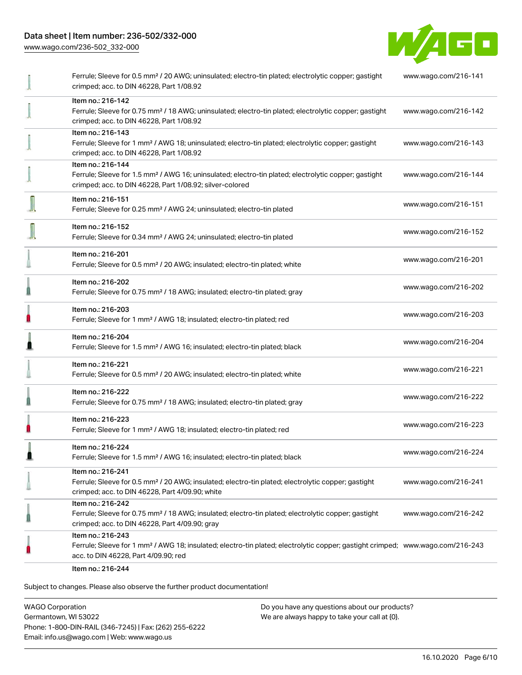[www.wago.com/236-502\\_332-000](http://www.wago.com/236-502_332-000)



|   | Ferrule; Sleeve for 0.5 mm <sup>2</sup> / 20 AWG; uninsulated; electro-tin plated; electrolytic copper; gastight<br>crimped; acc. to DIN 46228, Part 1/08.92                                            | www.wago.com/216-141 |
|---|---------------------------------------------------------------------------------------------------------------------------------------------------------------------------------------------------------|----------------------|
|   | Item no.: 216-142<br>Ferrule; Sleeve for 0.75 mm <sup>2</sup> / 18 AWG; uninsulated; electro-tin plated; electrolytic copper; gastight<br>crimped; acc. to DIN 46228, Part 1/08.92                      | www.wago.com/216-142 |
|   | Item no.: 216-143<br>Ferrule; Sleeve for 1 mm <sup>2</sup> / AWG 18; uninsulated; electro-tin plated; electrolytic copper; gastight<br>crimped; acc. to DIN 46228, Part 1/08.92                         | www.wago.com/216-143 |
|   | Item no.: 216-144<br>Ferrule; Sleeve for 1.5 mm <sup>2</sup> / AWG 16; uninsulated; electro-tin plated; electrolytic copper; gastight<br>crimped; acc. to DIN 46228, Part 1/08.92; silver-colored       | www.wago.com/216-144 |
|   | Item no.: 216-151<br>Ferrule; Sleeve for 0.25 mm <sup>2</sup> / AWG 24; uninsulated; electro-tin plated                                                                                                 | www.wago.com/216-151 |
|   | Item no.: 216-152<br>Ferrule; Sleeve for 0.34 mm <sup>2</sup> / AWG 24; uninsulated; electro-tin plated                                                                                                 | www.wago.com/216-152 |
|   | Item no.: 216-201<br>Ferrule; Sleeve for 0.5 mm <sup>2</sup> / 20 AWG; insulated; electro-tin plated; white                                                                                             | www.wago.com/216-201 |
|   | Item no.: 216-202<br>Ferrule; Sleeve for 0.75 mm <sup>2</sup> / 18 AWG; insulated; electro-tin plated; gray                                                                                             | www.wago.com/216-202 |
| H | Item no.: 216-203<br>Ferrule; Sleeve for 1 mm <sup>2</sup> / AWG 18; insulated; electro-tin plated; red                                                                                                 | www.wago.com/216-203 |
|   | Item no.: 216-204<br>Ferrule; Sleeve for 1.5 mm <sup>2</sup> / AWG 16; insulated; electro-tin plated; black                                                                                             | www.wago.com/216-204 |
|   | Item no.: 216-221<br>Ferrule; Sleeve for 0.5 mm <sup>2</sup> / 20 AWG; insulated; electro-tin plated; white                                                                                             | www.wago.com/216-221 |
|   | Item no.: 216-222<br>Ferrule; Sleeve for 0.75 mm <sup>2</sup> / 18 AWG; insulated; electro-tin plated; gray                                                                                             | www.wago.com/216-222 |
|   | Item no.: 216-223<br>Ferrule; Sleeve for 1 mm <sup>2</sup> / AWG 18; insulated; electro-tin plated; red                                                                                                 | www.wago.com/216-223 |
|   | Item no.: 216-224<br>Ferrule; Sleeve for 1.5 mm <sup>2</sup> / AWG 16; insulated; electro-tin plated; black                                                                                             | www.wago.com/216-224 |
|   | Item no.: 216-241<br>Ferrule; Sleeve for 0.5 mm <sup>2</sup> / 20 AWG; insulated; electro-tin plated; electrolytic copper; gastight<br>crimped; acc. to DIN 46228, Part 4/09.90; white                  | www.wago.com/216-241 |
|   | Item no.: 216-242<br>Ferrule; Sleeve for 0.75 mm <sup>2</sup> / 18 AWG; insulated; electro-tin plated; electrolytic copper; gastight<br>crimped; acc. to DIN 46228, Part 4/09.90; gray                  | www.wago.com/216-242 |
|   | Item no.: 216-243<br>Ferrule; Sleeve for 1 mm <sup>2</sup> / AWG 18; insulated; electro-tin plated; electrolytic copper; gastight crimped; www.wago.com/216-243<br>acc. to DIN 46228, Part 4/09.90; red |                      |
|   | Item no.: 216-244                                                                                                                                                                                       |                      |

Subject to changes. Please also observe the further product documentation!

WAGO Corporation Germantown, WI 53022 Phone: 1-800-DIN-RAIL (346-7245) | Fax: (262) 255-6222 Email: info.us@wago.com | Web: www.wago.us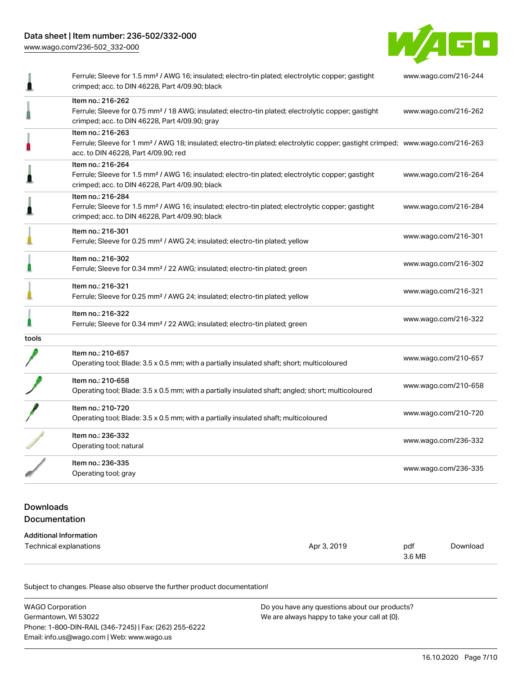[www.wago.com/236-502\\_332-000](http://www.wago.com/236-502_332-000)



|       | Ferrule; Sleeve for 1.5 mm <sup>2</sup> / AWG 16; insulated; electro-tin plated; electrolytic copper; gastight<br>crimped; acc. to DIN 46228, Part 4/09.90; black                                       | www.wago.com/216-244 |
|-------|---------------------------------------------------------------------------------------------------------------------------------------------------------------------------------------------------------|----------------------|
|       | Item no.: 216-262<br>Ferrule; Sleeve for 0.75 mm <sup>2</sup> / 18 AWG; insulated; electro-tin plated; electrolytic copper; gastight<br>crimped; acc. to DIN 46228, Part 4/09.90; gray                  | www.wago.com/216-262 |
|       | Item no.: 216-263<br>Ferrule; Sleeve for 1 mm <sup>2</sup> / AWG 18; insulated; electro-tin plated; electrolytic copper; gastight crimped; www.wago.com/216-263<br>acc. to DIN 46228, Part 4/09.90; red |                      |
|       | Item no.: 216-264<br>Ferrule; Sleeve for 1.5 mm <sup>2</sup> / AWG 16; insulated; electro-tin plated; electrolytic copper; gastight<br>crimped; acc. to DIN 46228, Part 4/09.90; black                  | www.wago.com/216-264 |
|       | Item no.: 216-284<br>Ferrule; Sleeve for 1.5 mm <sup>2</sup> / AWG 16; insulated; electro-tin plated; electrolytic copper; gastight<br>crimped; acc. to DIN 46228, Part 4/09.90; black                  | www.wago.com/216-284 |
|       | Item no.: 216-301<br>Ferrule; Sleeve for 0.25 mm <sup>2</sup> / AWG 24; insulated; electro-tin plated; yellow                                                                                           | www.wago.com/216-301 |
|       | Item no.: 216-302<br>Ferrule; Sleeve for 0.34 mm <sup>2</sup> / 22 AWG; insulated; electro-tin plated; green                                                                                            | www.wago.com/216-302 |
|       | Item no.: 216-321<br>Ferrule; Sleeve for 0.25 mm <sup>2</sup> / AWG 24; insulated; electro-tin plated; yellow                                                                                           | www.wago.com/216-321 |
|       | Item no.: 216-322<br>Ferrule; Sleeve for 0.34 mm <sup>2</sup> / 22 AWG; insulated; electro-tin plated; green                                                                                            | www.wago.com/216-322 |
| tools |                                                                                                                                                                                                         |                      |
|       | Item no.: 210-657<br>Operating tool; Blade: 3.5 x 0.5 mm; with a partially insulated shaft; short; multicoloured                                                                                        | www.wago.com/210-657 |
|       | Item no.: 210-658<br>Operating tool; Blade: 3.5 x 0.5 mm; with a partially insulated shaft; angled; short; multicoloured                                                                                | www.wago.com/210-658 |
|       | Item no.: 210-720<br>Operating tool; Blade: 3.5 x 0.5 mm; with a partially insulated shaft; multicoloured                                                                                               | www.wago.com/210-720 |
|       | Item no.: 236-332<br>Operating tool; natural                                                                                                                                                            | www.wago.com/236-332 |
|       | Item no.: 236-335<br>Operating tool; gray                                                                                                                                                               | www.wago.com/236-335 |

## Downloads Documentation

### Additional Information Technical explanations and the set of the set of the set of the set of the set of the set of the set of the set of the set of the set of the set of the set of the set of the set of the set of the set of the set of the set 3.6 MB [Download](https://www.wago.com/us/d/1435602)

| <b>WAGO Corporation</b>                                | Do you have any questions about our products? |
|--------------------------------------------------------|-----------------------------------------------|
| Germantown, WI 53022                                   | We are always happy to take your call at {0}. |
| Phone: 1-800-DIN-RAIL (346-7245)   Fax: (262) 255-6222 |                                               |
| Email: info.us@wago.com   Web: www.wago.us             |                                               |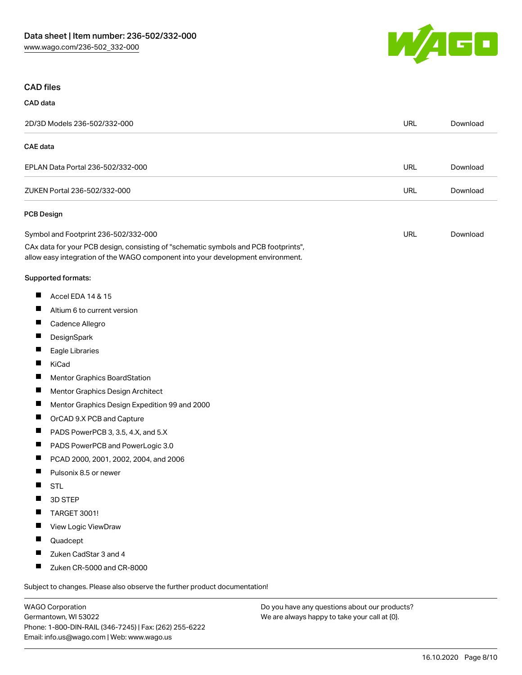

### CAD files

| CAD data        |                                                                                                                                                                                                                |            |          |
|-----------------|----------------------------------------------------------------------------------------------------------------------------------------------------------------------------------------------------------------|------------|----------|
|                 | 2D/3D Models 236-502/332-000                                                                                                                                                                                   | URL        | Download |
| <b>CAE</b> data |                                                                                                                                                                                                                |            |          |
|                 | EPLAN Data Portal 236-502/332-000                                                                                                                                                                              | <b>URL</b> | Download |
|                 | ZUKEN Portal 236-502/332-000                                                                                                                                                                                   | URL        | Download |
|                 | <b>PCB Design</b>                                                                                                                                                                                              |            |          |
|                 | Symbol and Footprint 236-502/332-000<br>CAx data for your PCB design, consisting of "schematic symbols and PCB footprints",<br>allow easy integration of the WAGO component into your development environment. | URL        | Download |
|                 | Supported formats:                                                                                                                                                                                             |            |          |
| ш               | Accel EDA 14 & 15                                                                                                                                                                                              |            |          |
|                 | Altium 6 to current version                                                                                                                                                                                    |            |          |
| $\blacksquare$  | Cadence Allegro                                                                                                                                                                                                |            |          |
| ш               | DesignSpark                                                                                                                                                                                                    |            |          |
|                 | Eagle Libraries                                                                                                                                                                                                |            |          |
| Ш               | KiCad                                                                                                                                                                                                          |            |          |
| $\blacksquare$  | Mentor Graphics BoardStation                                                                                                                                                                                   |            |          |
|                 | Mentor Graphics Design Architect                                                                                                                                                                               |            |          |
| ш               | Mentor Graphics Design Expedition 99 and 2000                                                                                                                                                                  |            |          |
| Ш               | OrCAD 9.X PCB and Capture                                                                                                                                                                                      |            |          |
|                 | PADS PowerPCB 3, 3.5, 4.X, and 5.X                                                                                                                                                                             |            |          |
| $\blacksquare$  | PADS PowerPCB and PowerLogic 3.0                                                                                                                                                                               |            |          |
| Ш               | PCAD 2000, 2001, 2002, 2004, and 2006                                                                                                                                                                          |            |          |
| Ш               | Pulsonix 8.5 or newer                                                                                                                                                                                          |            |          |
| ш               | <b>STL</b>                                                                                                                                                                                                     |            |          |
|                 | 3D STEP                                                                                                                                                                                                        |            |          |
|                 | TARGET 3001!                                                                                                                                                                                                   |            |          |
| Ш               | View Logic ViewDraw                                                                                                                                                                                            |            |          |
|                 | Quadcept                                                                                                                                                                                                       |            |          |
| $\blacksquare$  | Zuken CadStar 3 and 4                                                                                                                                                                                          |            |          |
| ш               | Zuken CR-5000 and CR-8000                                                                                                                                                                                      |            |          |
|                 | Subject to changes. Please also observe the further product documentation!                                                                                                                                     |            |          |

WAGO Corporation Germantown, WI 53022 Phone: 1-800-DIN-RAIL (346-7245) | Fax: (262) 255-6222 Email: info.us@wago.com | Web: www.wago.us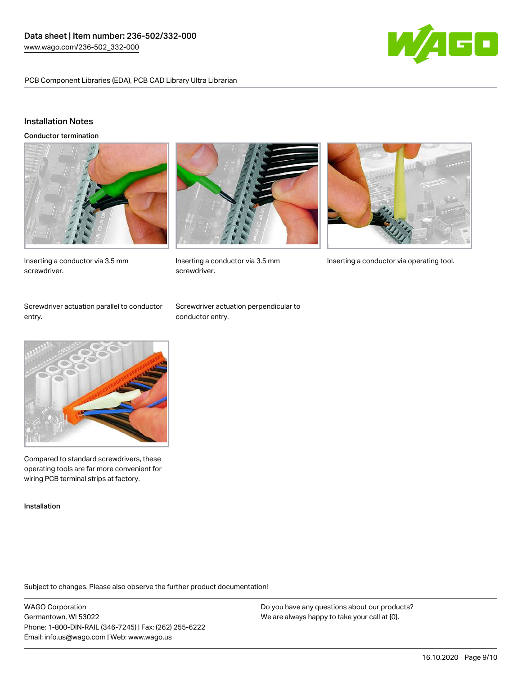

PCB Component Libraries (EDA), PCB CAD Library Ultra Librarian

# Installation Notes

Conductor termination



Inserting a conductor via 3.5 mm screwdriver.



screwdriver.



Inserting a conductor via 3.5 mm Inserting a conductor via operating tool.

Screwdriver actuation parallel to conductor entry.

Screwdriver actuation perpendicular to conductor entry.



Compared to standard screwdrivers, these operating tools are far more convenient for wiring PCB terminal strips at factory.

Installation

Subject to changes. Please also observe the further product documentation!

WAGO Corporation Germantown, WI 53022 Phone: 1-800-DIN-RAIL (346-7245) | Fax: (262) 255-6222 Email: info.us@wago.com | Web: www.wago.us